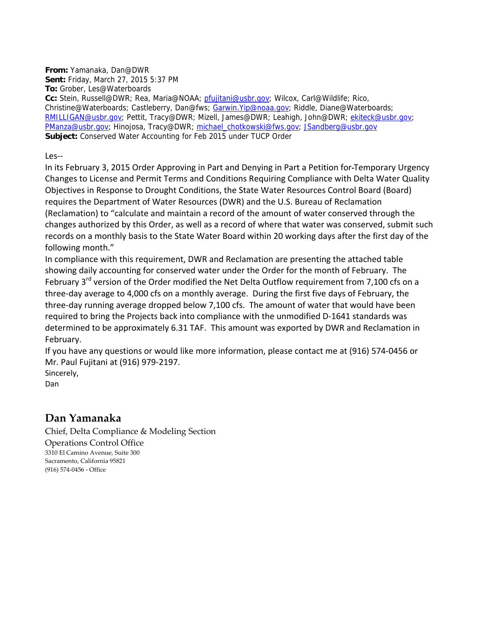**From:** Yamanaka, Dan@DWR **Sent:** Friday, March 27, 2015 5:37 PM **To:** Grober, Les@Waterboards **Cc:** Stein, Russell@DWR; Rea, Maria@NOAA; pfujitani@usbr.gov; Wilcox, Carl@Wildlife; Rico, Christine@Waterboards; Castleberry, Dan@fws; Garwin.Yip@noaa.gov; Riddle, Diane@Waterboards; RMILLIGAN@usbr.gov; Pettit, Tracy@DWR; Mizell, James@DWR; Leahigh, John@DWR; ekiteck@usbr.gov; PManza@usbr.gov; Hinojosa, Tracy@DWR; michael\_chotkowski@fws.gov; JSandberg@usbr.gov **Subject:** Conserved Water Accounting for Feb 2015 under TUCP Order

Les‐‐

In its February 3, 2015 Order Approving in Part and Denying in Part a Petition for Temporary Urgency Changes to License and Permit Terms and Conditions Requiring Compliance with Delta Water Quality Objectives in Response to Drought Conditions, the State Water Resources Control Board (Board) requires the Department of Water Resources (DWR) and the U.S. Bureau of Reclamation (Reclamation) to "calculate and maintain a record of the amount of water conserved through the changes authorized by this Order, as well as a record of where that water was conserved, submit such records on a monthly basis to the State Water Board within 20 working days after the first day of the following month."

In compliance with this requirement, DWR and Reclamation are presenting the attached table showing daily accounting for conserved water under the Order for the month of February. The February 3<sup>rd</sup> version of the Order modified the Net Delta Outflow requirement from 7,100 cfs on a three‐day average to 4,000 cfs on a monthly average. During the first five days of February, the three‐day running average dropped below 7,100 cfs. The amount of water that would have been required to bring the Projects back into compliance with the unmodified D‐1641 standards was determined to be approximately 6.31 TAF. This amount was exported by DWR and Reclamation in February.

If you have any questions or would like more information, please contact me at (916) 574‐0456 or Mr. Paul Fujitani at (916) 979‐2197.

Sincerely, Dan

**Dan Yamanaka**

Chief, Delta Compliance & Modeling Section Operations Control Office 3310 El Camino Avenue, Suite 300 Sacramento, California 95821 (916) 574‐0456 ‐ Office